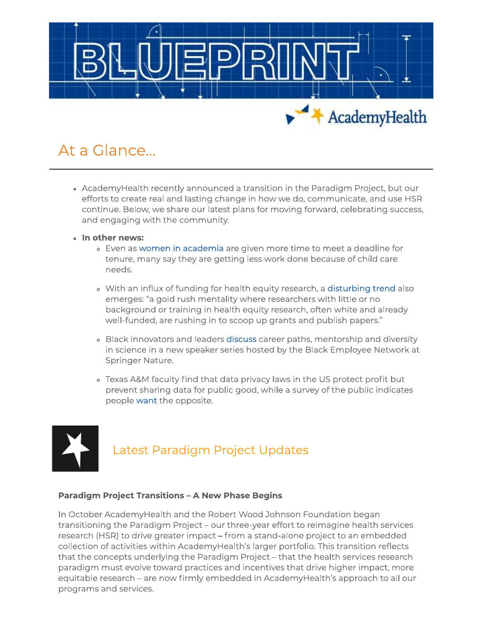

# At a Glance...

- AcademyHealth recently announced a transition in the Paradigm Project, but our efforts to create real and lasting change in how we do, communicate, and use HSR continue. Below, we share our latest plans for moving forward, celebrating success, and engaging with the community.
- · In other news:
	- . Even as women in academia are given more time to meet a deadline for tenure, many say they are getting less work done because of child care needs.
	- . With an influx of funding for health equity research, a disturbing trend also emerges: "a gold rush mentality where researchers with little or no background or training in health equity research, often white and already well-funded, are rushing in to scoop up grants and publish papers."
	- . Black innovators and leaders discuss career paths, mentorship and diversity in science in a new speaker series hosted by the Black Employee Network at Springer Nature.
	- . Texas A&M faculty find that data privacy laws in the US protect profit but prevent sharing data for public good, while a survey of the public indicates people want the opposite.



## Latest Paradigm Project Updates

#### **Paradigm Project Transitions - A New Phase Begins**

In October AcademyHealth and the Robert Wood Johnson Foundation began transitioning the Paradigm Project - our three-year effort to reimagine health services research (HSR) to drive greater impact – from a stand-alone project to an embedded collection of activities within AcademyHealth's larger portfolio. This transition reflects that the concepts underlying the Paradigm Project - that the health services research paradigm must evolve toward practices and incentives that drive higher impact, more equitable research - are now firmly embedded in AcademyHealth's approach to all our programs and services.